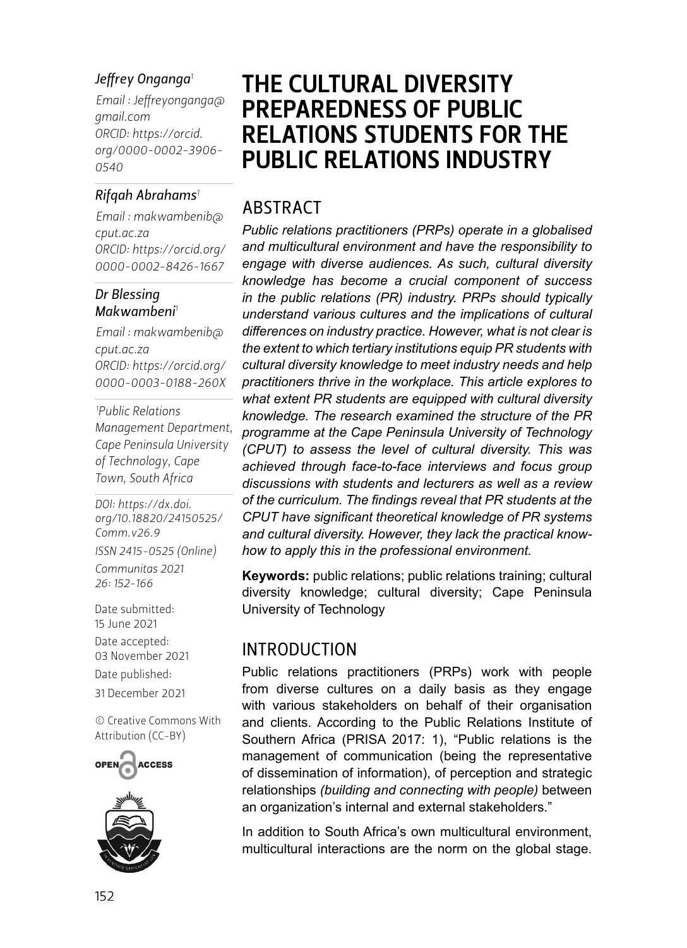#### *Jeffrey Onganga<sup>1</sup>*

*Email : [Jeffreyonganga@](mailto:Jeffreyonganga@gmail.com) [gmail.com](mailto:Jeffreyonganga@gmail.com) ORCID: [https://orcid.](https://orcid.org/0000-0002-3906-0540) [org/](https://orcid.org/0000-0002-3906-0540)0000-0002-3906- 0540*

#### *Rifqah Abrahams<sup>1</sup>*

*Email : [makwambenib@](mailto:makwambenib@cput.ac.za) [cput.ac.za](mailto:makwambenib@cput.ac.za) ORCID: [https://orcid.org/](https://orcid.org/0000-0002-8426-1667) 0000-0002-8426-1667*

#### *Dr Blessing Makwambeni<sup>1</sup>*

*Email : [makwambenib@](mailto:makwambenib@cput.ac.za) [cput.ac.za](mailto:makwambenib@cput.ac.za) ORCID: [https://orcid.org/](https://orcid.org/0000-0003-0188-260X) 0000-0003-0188-260X*

*1 Public Relations Management Department, Cape Peninsula University of Technology, Cape Town, South Africa*

*DOI: [https://dx.doi.](https://dx.doi.org/10.18820/24150525/Comm.v26.9) [org/10.18820/24150525/](https://dx.doi.org/10.18820/24150525/Comm.v26.9) [Comm.v](https://dx.doi.org/10.18820/24150525/Comm.v26.9)26.9*

*ISSN 2415-0525 (Online) Communitas 2021* 

*26: 152-166*

Date submitted: 15 June 2021

Date accepted: 03 November 2021 Date published: 31 December 2021

[© Creative Commons With](https://creativecommons.org/licenses/by/2.0/za/)  [Attribution \(CC-BY\)](https://creativecommons.org/licenses/by/2.0/za/)





# THE CULTURAL DIVERSITY PREPAREDNESS OF PUBLIC RELATIONS STUDENTS FOR THE PUBLIC RELATIONS INDUSTRY

### ABSTRACT

*Public relations practitioners (PRPs) operate in a globalised and multicultural environment and have the responsibility to engage with diverse audiences. As such, cultural diversity knowledge has become a crucial component of success in the public relations (PR) industry. PRPs should typically understand various cultures and the implications of cultural differences on industry practice. However, what is not clear is the extent to which tertiary institutions equip PR students with cultural diversity knowledge to meet industry needs and help practitioners thrive in the workplace. This article explores to what extent PR students are equipped with cultural diversity knowledge. The research examined the structure of the PR programme at the Cape Peninsula University of Technology (CPUT) to assess the level of cultural diversity. This was achieved through face-to-face interviews and focus group discussions with students and lecturers as well as a review of the curriculum. The findings reveal that PR students at the CPUT have significant theoretical knowledge of PR systems and cultural diversity. However, they lack the practical knowhow to apply this in the professional environment.* 

**Keywords:** public relations; public relations training; cultural diversity knowledge; cultural diversity; Cape Peninsula University of Technology

#### INTRODUCTION

Public relations practitioners (PRPs) work with people from diverse cultures on a daily basis as they engage with various stakeholders on behalf of their organisation and clients. According to the Public Relations Institute of Southern Africa (PRISA 2017: 1), "Public relations is the management of communication (being the representative of dissemination of information), of perception and strategic relationships *(building and connecting with people)* between an organization's internal and external stakeholders."

In addition to South Africa's own multicultural environment, multicultural interactions are the norm on the global stage.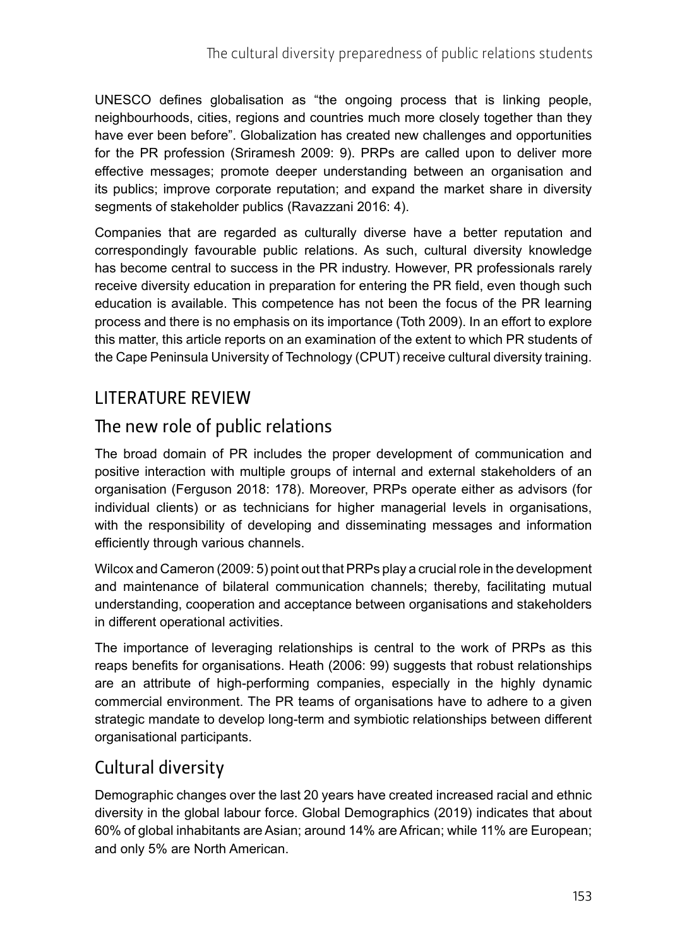UNESCO defines globalisation as "the ongoing process that is linking people, neighbourhoods, cities, regions and countries much more closely together than they have ever been before". Globalization has created new challenges and opportunities for the PR profession (Sriramesh 2009: 9). PRPs are called upon to deliver more effective messages; promote deeper understanding between an organisation and its publics; improve corporate reputation; and expand the market share in diversity segments of stakeholder publics (Ravazzani 2016: 4).

Companies that are regarded as culturally diverse have a better reputation and correspondingly favourable public relations. As such, cultural diversity knowledge has become central to success in the PR industry. However, PR professionals rarely receive diversity education in preparation for entering the PR field, even though such education is available. This competence has not been the focus of the PR learning process and there is no emphasis on its importance (Toth 2009). In an effort to explore this matter, this article reports on an examination of the extent to which PR students of the Cape Peninsula University of Technology (CPUT) receive cultural diversity training.

#### LITERATURE REVIEW

#### The new role of public relations

The broad domain of PR includes the proper development of communication and positive interaction with multiple groups of internal and external stakeholders of an organisation (Ferguson 2018: 178). Moreover, PRPs operate either as advisors (for individual clients) or as technicians for higher managerial levels in organisations, with the responsibility of developing and disseminating messages and information efficiently through various channels.

Wilcox and Cameron (2009: 5) point out that PRPs play a crucial role in the development and maintenance of bilateral communication channels; thereby, facilitating mutual understanding, cooperation and acceptance between organisations and stakeholders in different operational activities.

The importance of leveraging relationships is central to the work of PRPs as this reaps benefits for organisations. Heath (2006: 99) suggests that robust relationships are an attribute of high-performing companies, especially in the highly dynamic commercial environment. The PR teams of organisations have to adhere to a given strategic mandate to develop long-term and symbiotic relationships between different organisational participants.

### Cultural diversity

Demographic changes over the last 20 years have created increased racial and ethnic diversity in the global labour force. Global Demographics (2019) indicates that about 60% of global inhabitants are Asian; around 14% are African; while 11% are European; and only 5% are North American.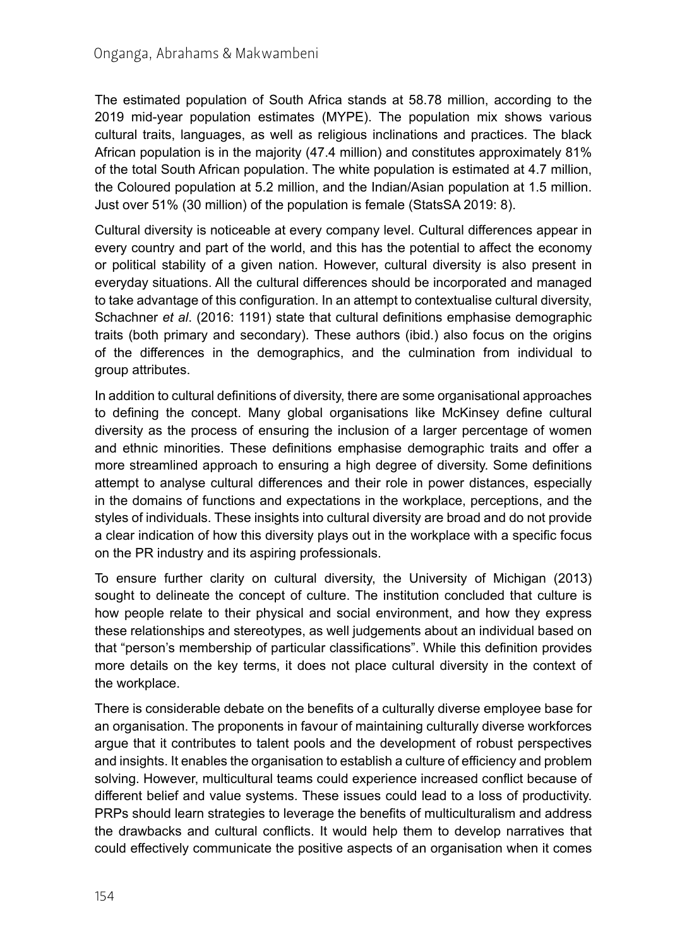The estimated population of South Africa stands at 58.78 million, according to the 2019 mid-year population estimates (MYPE). The population mix shows various cultural traits, languages, as well as religious inclinations and practices. The black African population is in the majority (47.4 million) and constitutes approximately 81% of the total South African population. The white population is estimated at 4.7 million, the Coloured population at 5.2 million, and the Indian/Asian population at 1.5 million. Just over 51% (30 million) of the population is female (StatsSA 2019: 8).

Cultural diversity is noticeable at every company level. Cultural differences appear in every country and part of the world, and this has the potential to affect the economy or political stability of a given nation. However, cultural diversity is also present in everyday situations. All the cultural differences should be incorporated and managed to take advantage of this configuration. In an attempt to contextualise cultural diversity, Schachner *et al*. (2016: 1191) state that cultural definitions emphasise demographic traits (both primary and secondary). These authors (ibid.) also focus on the origins of the differences in the demographics, and the culmination from individual to group attributes.

In addition to cultural definitions of diversity, there are some organisational approaches to defining the concept. Many global organisations like McKinsey define cultural diversity as the process of ensuring the inclusion of a larger percentage of women and ethnic minorities. These definitions emphasise demographic traits and offer a more streamlined approach to ensuring a high degree of diversity. Some definitions attempt to analyse cultural differences and their role in power distances, especially in the domains of functions and expectations in the workplace, perceptions, and the styles of individuals. These insights into cultural diversity are broad and do not provide a clear indication of how this diversity plays out in the workplace with a specific focus on the PR industry and its aspiring professionals.

To ensure further clarity on cultural diversity, the University of Michigan (2013) sought to delineate the concept of culture. The institution concluded that culture is how people relate to their physical and social environment, and how they express these relationships and stereotypes, as well judgements about an individual based on that "person's membership of particular classifications". While this definition provides more details on the key terms, it does not place cultural diversity in the context of the workplace.

There is considerable debate on the benefits of a culturally diverse employee base for an organisation. The proponents in favour of maintaining culturally diverse workforces argue that it contributes to talent pools and the development of robust perspectives and insights. It enables the organisation to establish a culture of efficiency and problem solving. However, multicultural teams could experience increased conflict because of different belief and value systems. These issues could lead to a loss of productivity. PRPs should learn strategies to leverage the benefits of multiculturalism and address the drawbacks and cultural conflicts. It would help them to develop narratives that could effectively communicate the positive aspects of an organisation when it comes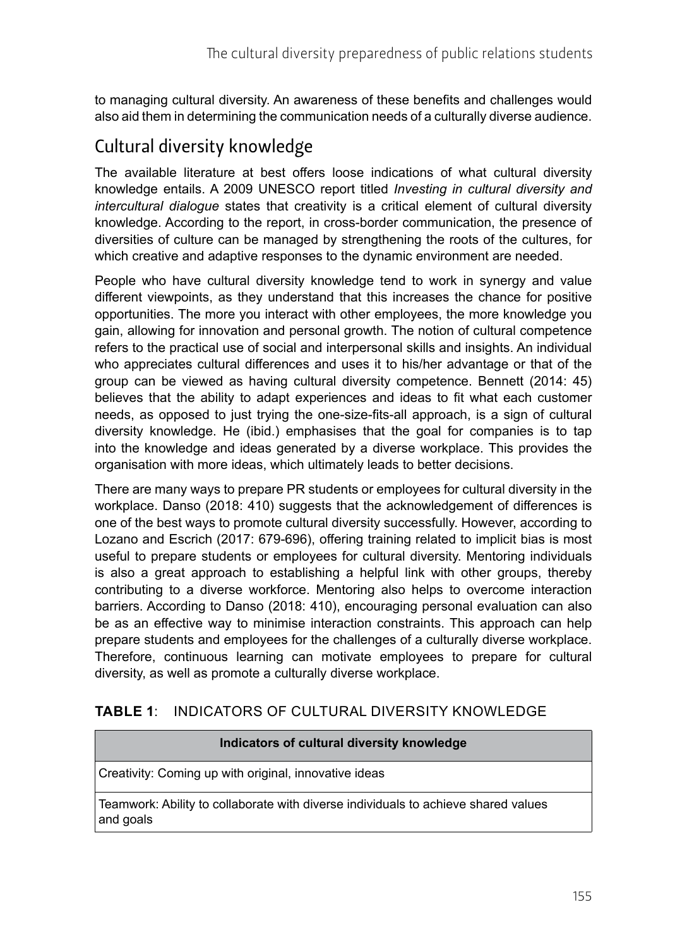to managing cultural diversity. An awareness of these benefits and challenges would also aid them in determining the communication needs of a culturally diverse audience.

# Cultural diversity knowledge

The available literature at best offers loose indications of what cultural diversity knowledge entails. A 2009 UNESCO report titled *Investing in cultural diversity and intercultural dialogue* states that creativity is a critical element of cultural diversity knowledge. According to the report, in cross-border communication, the presence of diversities of culture can be managed by strengthening the roots of the cultures, for which creative and adaptive responses to the dynamic environment are needed.

People who have cultural diversity knowledge tend to work in synergy and value different viewpoints, as they understand that this increases the chance for positive opportunities. The more you interact with other employees, the more knowledge you gain, allowing for innovation and personal growth. The notion of cultural competence refers to the practical use of social and interpersonal skills and insights. An individual who appreciates cultural differences and uses it to his/her advantage or that of the group can be viewed as having cultural diversity competence. Bennett (2014: 45) believes that the ability to adapt experiences and ideas to fit what each customer needs, as opposed to just trying the one-size-fits-all approach, is a sign of cultural diversity knowledge. He (ibid.) emphasises that the goal for companies is to tap into the knowledge and ideas generated by a diverse workplace. This provides the organisation with more ideas, which ultimately leads to better decisions.

There are many ways to prepare PR students or employees for cultural diversity in the workplace. Danso (2018: 410) suggests that the acknowledgement of differences is one of the best ways to promote cultural diversity successfully. However, according to Lozano and Escrich (2017: 679-696), offering training related to implicit bias is most useful to prepare students or employees for cultural diversity. Mentoring individuals is also a great approach to establishing a helpful link with other groups, thereby contributing to a diverse workforce. Mentoring also helps to overcome interaction barriers. According to Danso (2018: 410), encouraging personal evaluation can also be as an effective way to minimise interaction constraints. This approach can help prepare students and employees for the challenges of a culturally diverse workplace. Therefore, continuous learning can motivate employees to prepare for cultural diversity, as well as promote a culturally diverse workplace.

#### **TABLE 1**: INDICATORS OF CULTURAL DIVERSITY KNOWLEDGE

#### **Indicators of cultural diversity knowledge**

Creativity: Coming up with original, innovative ideas

Teamwork: Ability to collaborate with diverse individuals to achieve shared values and goals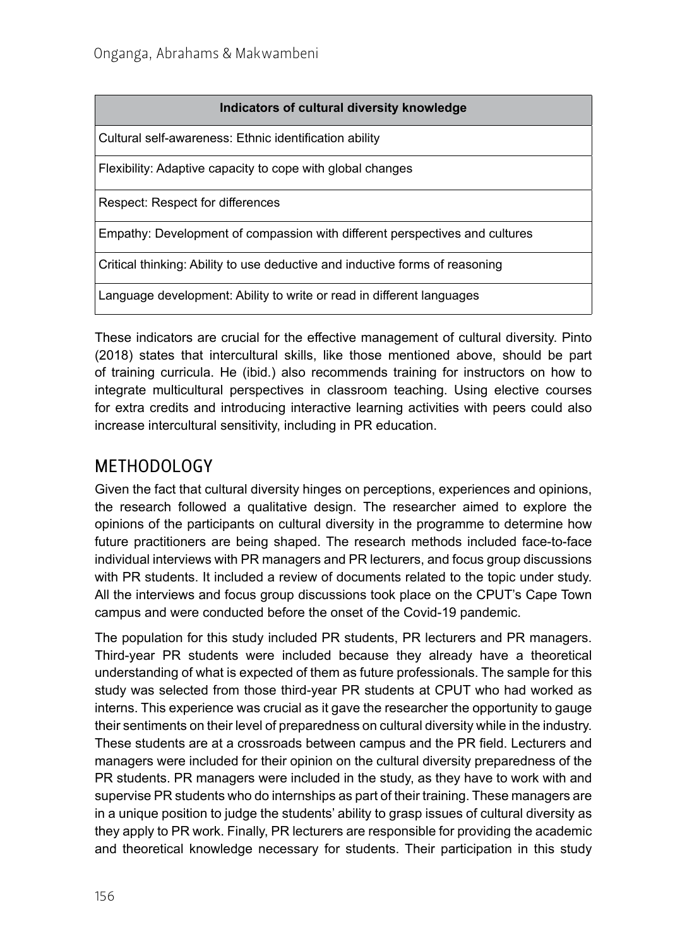Cultural self-awareness: Ethnic identification ability

Flexibility: Adaptive capacity to cope with global changes

Respect: Respect for differences

Empathy: Development of compassion with different perspectives and cultures

Critical thinking: Ability to use deductive and inductive forms of reasoning

Language development: Ability to write or read in different languages

These indicators are crucial for the effective management of cultural diversity. Pinto (2018) states that intercultural skills, like those mentioned above, should be part of training curricula. He (ibid.) also recommends training for instructors on how to integrate multicultural perspectives in classroom teaching. Using elective courses for extra credits and introducing interactive learning activities with peers could also increase intercultural sensitivity, including in PR education.

#### METHODOLOGY

Given the fact that cultural diversity hinges on perceptions, experiences and opinions, the research followed a qualitative design. The researcher aimed to explore the opinions of the participants on cultural diversity in the programme to determine how future practitioners are being shaped. The research methods included face-to-face individual interviews with PR managers and PR lecturers, and focus group discussions with PR students. It included a review of documents related to the topic under study. All the interviews and focus group discussions took place on the CPUT's Cape Town campus and were conducted before the onset of the Covid-19 pandemic.

The population for this study included PR students, PR lecturers and PR managers. Third-year PR students were included because they already have a theoretical understanding of what is expected of them as future professionals. The sample for this study was selected from those third-year PR students at CPUT who had worked as interns. This experience was crucial as it gave the researcher the opportunity to gauge their sentiments on their level of preparedness on cultural diversity while in the industry. These students are at a crossroads between campus and the PR field. Lecturers and managers were included for their opinion on the cultural diversity preparedness of the PR students. PR managers were included in the study, as they have to work with and supervise PR students who do internships as part of their training. These managers are in a unique position to judge the students' ability to grasp issues of cultural diversity as they apply to PR work. Finally, PR lecturers are responsible for providing the academic and theoretical knowledge necessary for students. Their participation in this study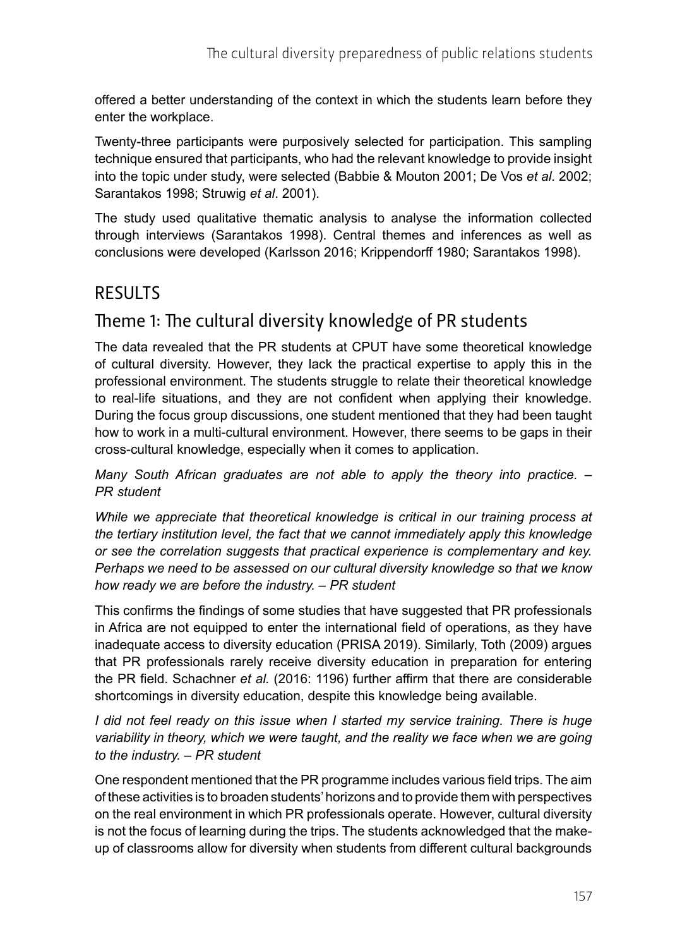offered a better understanding of the context in which the students learn before they enter the workplace.

Twenty-three participants were purposively selected for participation. This sampling technique ensured that participants, who had the relevant knowledge to provide insight into the topic under study, were selected (Babbie & Mouton 2001; De Vos *et al*. 2002; Sarantakos 1998; Struwig *et al*. 2001).

The study used qualitative thematic analysis to analyse the information collected through interviews (Sarantakos 1998). Central themes and inferences as well as conclusions were developed (Karlsson 2016; Krippendorff 1980; Sarantakos 1998).

#### RESULTS

### Theme 1: The cultural diversity knowledge of PR students

The data revealed that the PR students at CPUT have some theoretical knowledge of cultural diversity. However, they lack the practical expertise to apply this in the professional environment. The students struggle to relate their theoretical knowledge to real-life situations, and they are not confident when applying their knowledge. During the focus group discussions, one student mentioned that they had been taught how to work in a multi-cultural environment. However, there seems to be gaps in their cross-cultural knowledge, especially when it comes to application.

*Many South African graduates are not able to apply the theory into practice. – PR student*

*While we appreciate that theoretical knowledge is critical in our training process at the tertiary institution level, the fact that we cannot immediately apply this knowledge or see the correlation suggests that practical experience is complementary and key. Perhaps we need to be assessed on our cultural diversity knowledge so that we know how ready we are before the industry. – PR student*

This confirms the findings of some studies that have suggested that PR professionals in Africa are not equipped to enter the international field of operations, as they have inadequate access to diversity education (PRISA 2019). Similarly, Toth (2009) argues that PR professionals rarely receive diversity education in preparation for entering the PR field. Schachner *et al.* (2016: 1196) further affirm that there are considerable shortcomings in diversity education, despite this knowledge being available.

*I* did not feel ready on this issue when I started my service training. There is huge *variability in theory, which we were taught, and the reality we face when we are going to the industry. – PR student*

One respondent mentioned that the PR programme includes various field trips. The aim of these activities is to broaden students' horizons and to provide them with perspectives on the real environment in which PR professionals operate. However, cultural diversity is not the focus of learning during the trips. The students acknowledged that the makeup of classrooms allow for diversity when students from different cultural backgrounds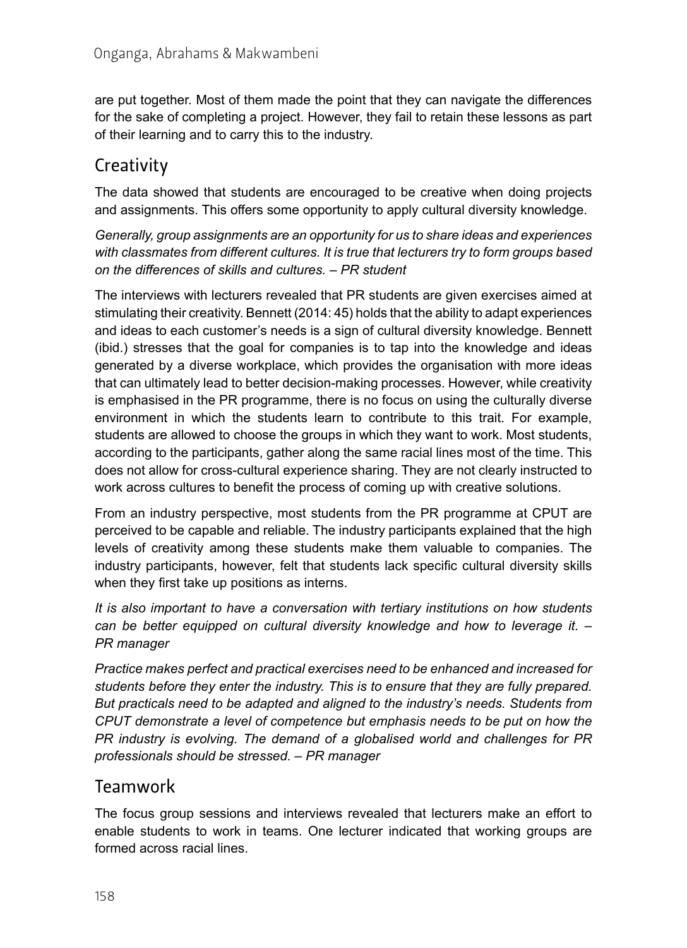are put together. Most of them made the point that they can navigate the differences for the sake of completing a project. However, they fail to retain these lessons as part of their learning and to carry this to the industry.

# **Creativity**

The data showed that students are encouraged to be creative when doing projects and assignments. This offers some opportunity to apply cultural diversity knowledge.

*Generally, group assignments are an opportunity for us to share ideas and experiences with classmates from different cultures. It is true that lecturers try to form groups based on the differences of skills and cultures. – PR student*

The interviews with lecturers revealed that PR students are given exercises aimed at stimulating their creativity. Bennett (2014: 45) holds that the ability to adapt experiences and ideas to each customer's needs is a sign of cultural diversity knowledge. Bennett (ibid.) stresses that the goal for companies is to tap into the knowledge and ideas generated by a diverse workplace, which provides the organisation with more ideas that can ultimately lead to better decision-making processes. However, while creativity is emphasised in the PR programme, there is no focus on using the culturally diverse environment in which the students learn to contribute to this trait. For example, students are allowed to choose the groups in which they want to work. Most students, according to the participants, gather along the same racial lines most of the time. This does not allow for cross-cultural experience sharing. They are not clearly instructed to work across cultures to benefit the process of coming up with creative solutions.

From an industry perspective, most students from the PR programme at CPUT are perceived to be capable and reliable. The industry participants explained that the high levels of creativity among these students make them valuable to companies. The industry participants, however, felt that students lack specific cultural diversity skills when they first take up positions as interns.

*It is also important to have a conversation with tertiary institutions on how students can be better equipped on cultural diversity knowledge and how to leverage it. – PR manager*

*Practice makes perfect and practical exercises need to be enhanced and increased for students before they enter the industry. This is to ensure that they are fully prepared. But practicals need to be adapted and aligned to the industry's needs. Students from CPUT demonstrate a level of competence but emphasis needs to be put on how the PR industry is evolving. The demand of a globalised world and challenges for PR professionals should be stressed. – PR manager*

#### Teamwork

The focus group sessions and interviews revealed that lecturers make an effort to enable students to work in teams. One lecturer indicated that working groups are formed across racial lines.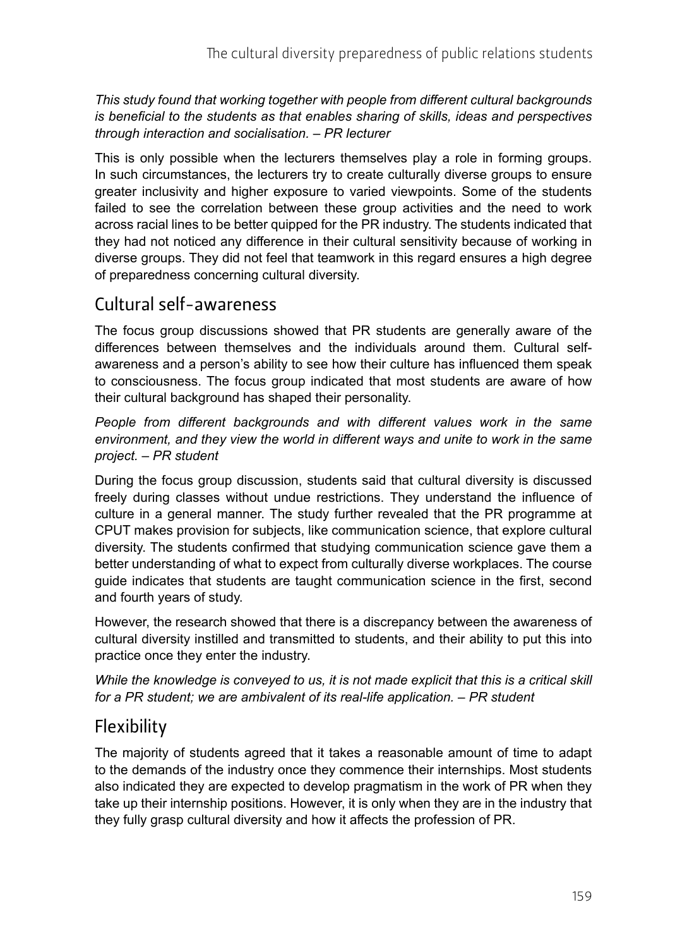*This study found that working together with people from different cultural backgrounds is beneficial to the students as that enables sharing of skills, ideas and perspectives through interaction and socialisation. – PR lecturer*

This is only possible when the lecturers themselves play a role in forming groups. In such circumstances, the lecturers try to create culturally diverse groups to ensure greater inclusivity and higher exposure to varied viewpoints. Some of the students failed to see the correlation between these group activities and the need to work across racial lines to be better quipped for the PR industry. The students indicated that they had not noticed any difference in their cultural sensitivity because of working in diverse groups. They did not feel that teamwork in this regard ensures a high degree of preparedness concerning cultural diversity.

#### Cultural self-awareness

The focus group discussions showed that PR students are generally aware of the differences between themselves and the individuals around them. Cultural selfawareness and a person's ability to see how their culture has influenced them speak to consciousness. The focus group indicated that most students are aware of how their cultural background has shaped their personality.

*People from different backgrounds and with different values work in the same environment, and they view the world in different ways and unite to work in the same project. – PR student* 

During the focus group discussion, students said that cultural diversity is discussed freely during classes without undue restrictions. They understand the influence of culture in a general manner. The study further revealed that the PR programme at CPUT makes provision for subjects, like communication science, that explore cultural diversity. The students confirmed that studying communication science gave them a better understanding of what to expect from culturally diverse workplaces. The course guide indicates that students are taught communication science in the first, second and fourth years of study.

However, the research showed that there is a discrepancy between the awareness of cultural diversity instilled and transmitted to students, and their ability to put this into practice once they enter the industry.

*While the knowledge is conveyed to us, it is not made explicit that this is a critical skill for a PR student; we are ambivalent of its real-life application. – PR student*

### Flexibility

The majority of students agreed that it takes a reasonable amount of time to adapt to the demands of the industry once they commence their internships. Most students also indicated they are expected to develop pragmatism in the work of PR when they take up their internship positions. However, it is only when they are in the industry that they fully grasp cultural diversity and how it affects the profession of PR.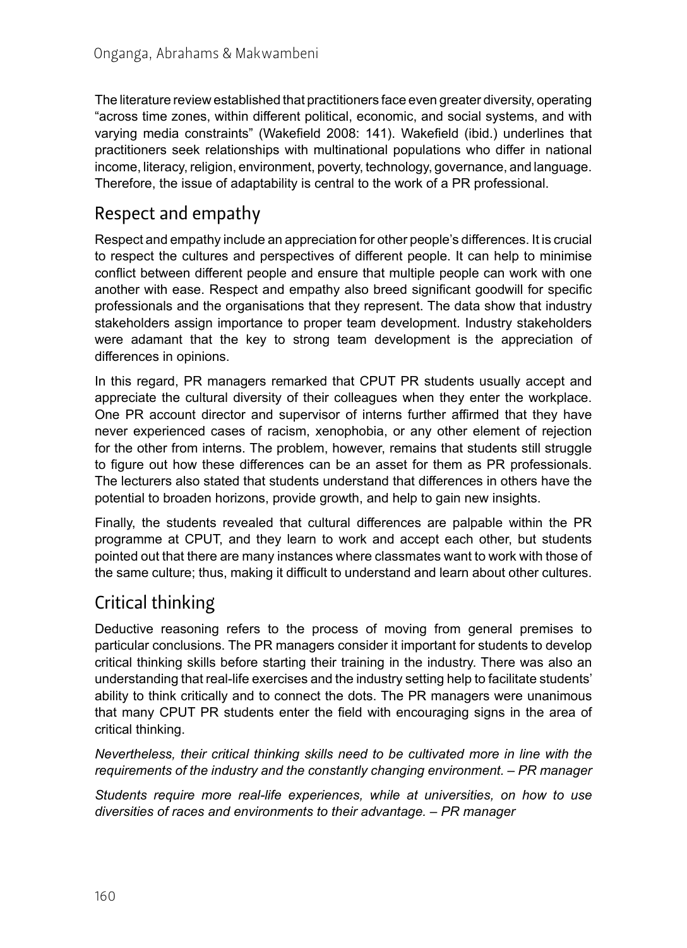The literature review established that practitioners face even greater diversity, operating "across time zones, within different political, economic, and social systems, and with varying media constraints" (Wakefield 2008: 141). Wakefield (ibid.) underlines that practitioners seek relationships with multinational populations who differ in national income, literacy, religion, environment, poverty, technology, governance, and language. Therefore, the issue of adaptability is central to the work of a PR professional.

## Respect and empathy

Respect and empathy include an appreciation for other people's differences. It is crucial to respect the cultures and perspectives of different people. It can help to minimise conflict between different people and ensure that multiple people can work with one another with ease. Respect and empathy also breed significant goodwill for specific professionals and the organisations that they represent. The data show that industry stakeholders assign importance to proper team development. Industry stakeholders were adamant that the key to strong team development is the appreciation of differences in opinions.

In this regard, PR managers remarked that CPUT PR students usually accept and appreciate the cultural diversity of their colleagues when they enter the workplace. One PR account director and supervisor of interns further affirmed that they have never experienced cases of racism, xenophobia, or any other element of rejection for the other from interns. The problem, however, remains that students still struggle to figure out how these differences can be an asset for them as PR professionals. The lecturers also stated that students understand that differences in others have the potential to broaden horizons, provide growth, and help to gain new insights.

Finally, the students revealed that cultural differences are palpable within the PR programme at CPUT, and they learn to work and accept each other, but students pointed out that there are many instances where classmates want to work with those of the same culture; thus, making it difficult to understand and learn about other cultures.

# Critical thinking

Deductive reasoning refers to the process of moving from general premises to particular conclusions. The PR managers consider it important for students to develop critical thinking skills before starting their training in the industry. There was also an understanding that real-life exercises and the industry setting help to facilitate students' ability to think critically and to connect the dots. The PR managers were unanimous that many CPUT PR students enter the field with encouraging signs in the area of critical thinking.

*Nevertheless, their critical thinking skills need to be cultivated more in line with the requirements of the industry and the constantly changing environment. – PR manager*

*Students require more real-life experiences, while at universities, on how to use diversities of races and environments to their advantage. – PR manager*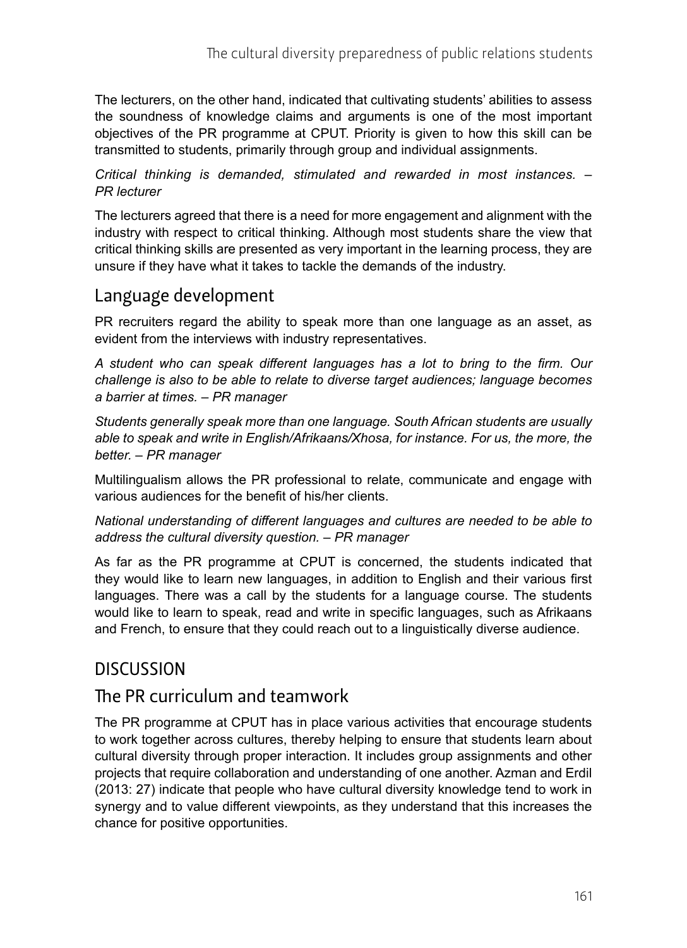The lecturers, on the other hand, indicated that cultivating students' abilities to assess the soundness of knowledge claims and arguments is one of the most important objectives of the PR programme at CPUT. Priority is given to how this skill can be transmitted to students, primarily through group and individual assignments.

#### *Critical thinking is demanded, stimulated and rewarded in most instances. – PR lecturer*

The lecturers agreed that there is a need for more engagement and alignment with the industry with respect to critical thinking. Although most students share the view that critical thinking skills are presented as very important in the learning process, they are unsure if they have what it takes to tackle the demands of the industry.

#### Language development

PR recruiters regard the ability to speak more than one language as an asset, as evident from the interviews with industry representatives.

*A student who can speak different languages has a lot to bring to the firm. Our challenge is also to be able to relate to diverse target audiences; language becomes a barrier at times. – PR manager*

*Students generally speak more than one language. South African students are usually able to speak and write in English/Afrikaans/Xhosa, for instance. For us, the more, the better. – PR manager*

Multilingualism allows the PR professional to relate, communicate and engage with various audiences for the benefit of his/her clients.

*National understanding of different languages and cultures are needed to be able to address the cultural diversity question. – PR manager*

As far as the PR programme at CPUT is concerned, the students indicated that they would like to learn new languages, in addition to English and their various first languages. There was a call by the students for a language course. The students would like to learn to speak, read and write in specific languages, such as Afrikaans and French, to ensure that they could reach out to a linguistically diverse audience.

#### **DISCUSSION**

#### The PR curriculum and teamwork

The PR programme at CPUT has in place various activities that encourage students to work together across cultures, thereby helping to ensure that students learn about cultural diversity through proper interaction. It includes group assignments and other projects that require collaboration and understanding of one another. Azman and Erdil (2013: 27) indicate that people who have cultural diversity knowledge tend to work in synergy and to value different viewpoints, as they understand that this increases the chance for positive opportunities.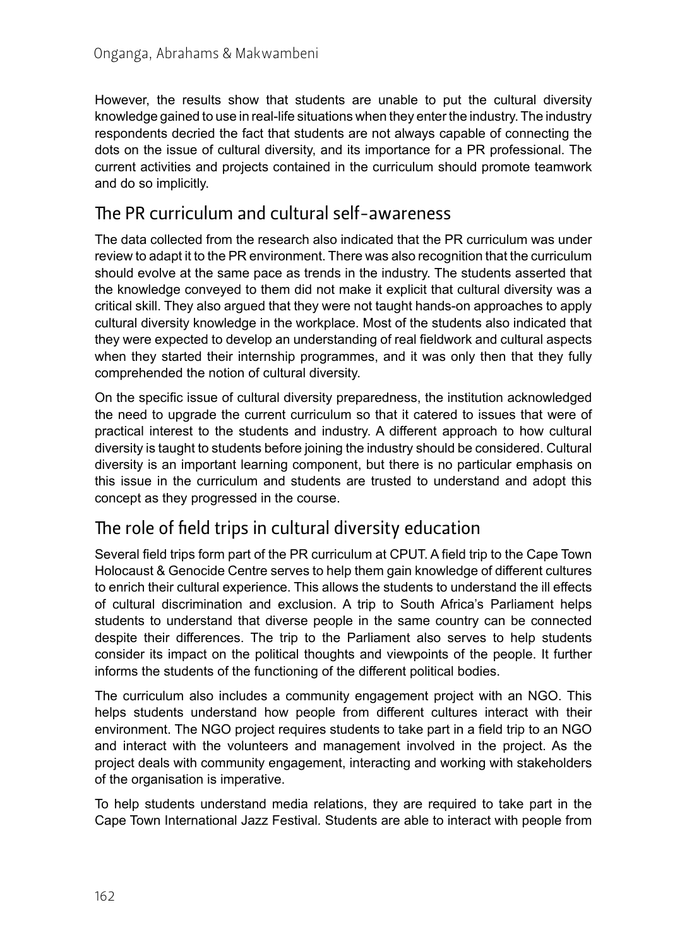However, the results show that students are unable to put the cultural diversity knowledge gained to use in real-life situations when they enter the industry. The industry respondents decried the fact that students are not always capable of connecting the dots on the issue of cultural diversity, and its importance for a PR professional. The current activities and projects contained in the curriculum should promote teamwork and do so implicitly.

### The PR curriculum and cultural self-awareness

The data collected from the research also indicated that the PR curriculum was under review to adapt it to the PR environment. There was also recognition that the curriculum should evolve at the same pace as trends in the industry. The students asserted that the knowledge conveyed to them did not make it explicit that cultural diversity was a critical skill. They also argued that they were not taught hands-on approaches to apply cultural diversity knowledge in the workplace. Most of the students also indicated that they were expected to develop an understanding of real fieldwork and cultural aspects when they started their internship programmes, and it was only then that they fully comprehended the notion of cultural diversity.

On the specific issue of cultural diversity preparedness, the institution acknowledged the need to upgrade the current curriculum so that it catered to issues that were of practical interest to the students and industry. A different approach to how cultural diversity is taught to students before joining the industry should be considered. Cultural diversity is an important learning component, but there is no particular emphasis on this issue in the curriculum and students are trusted to understand and adopt this concept as they progressed in the course.

### The role of field trips in cultural diversity education

Several field trips form part of the PR curriculum at CPUT. A field trip to the Cape Town Holocaust & Genocide Centre serves to help them gain knowledge of different cultures to enrich their cultural experience. This allows the students to understand the ill effects of cultural discrimination and exclusion. A trip to South Africa's Parliament helps students to understand that diverse people in the same country can be connected despite their differences. The trip to the Parliament also serves to help students consider its impact on the political thoughts and viewpoints of the people. It further informs the students of the functioning of the different political bodies.

The curriculum also includes a community engagement project with an NGO. This helps students understand how people from different cultures interact with their environment. The NGO project requires students to take part in a field trip to an NGO and interact with the volunteers and management involved in the project. As the project deals with community engagement, interacting and working with stakeholders of the organisation is imperative.

To help students understand media relations, they are required to take part in the Cape Town International Jazz Festival*.* Students are able to interact with people from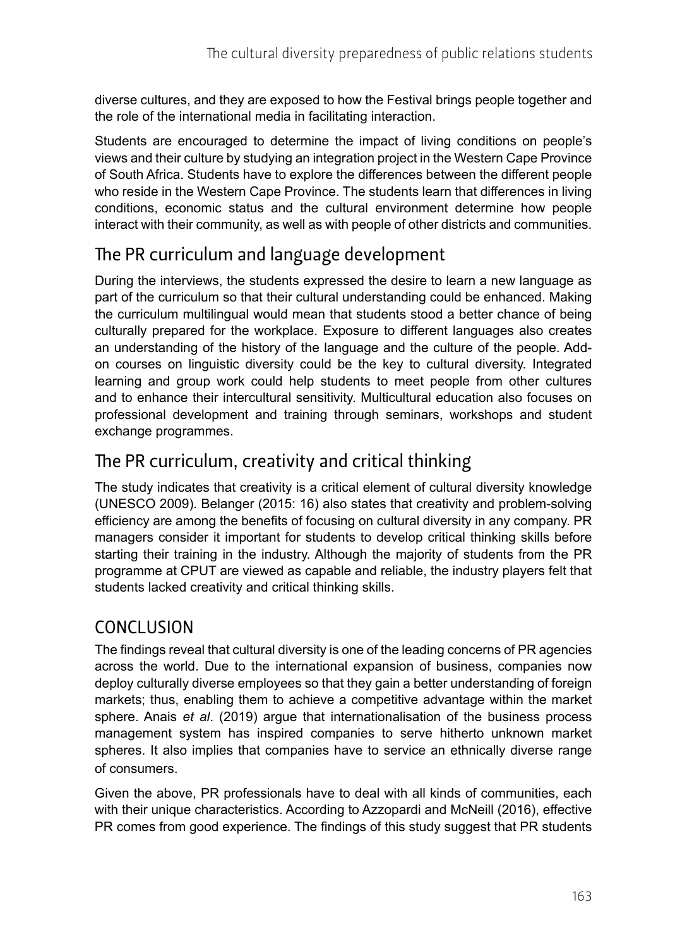diverse cultures, and they are exposed to how the Festival brings people together and the role of the international media in facilitating interaction.

Students are encouraged to determine the impact of living conditions on people's views and their culture by studying an integration project in the Western Cape Province of South Africa. Students have to explore the differences between the different people who reside in the Western Cape Province. The students learn that differences in living conditions, economic status and the cultural environment determine how people interact with their community, as well as with people of other districts and communities.

### The PR curriculum and language development

During the interviews, the students expressed the desire to learn a new language as part of the curriculum so that their cultural understanding could be enhanced. Making the curriculum multilingual would mean that students stood a better chance of being culturally prepared for the workplace. Exposure to different languages also creates an understanding of the history of the language and the culture of the people. Addon courses on linguistic diversity could be the key to cultural diversity. Integrated learning and group work could help students to meet people from other cultures and to enhance their intercultural sensitivity. Multicultural education also focuses on professional development and training through seminars, workshops and student exchange programmes.

# The PR curriculum, creativity and critical thinking

The study indicates that creativity is a critical element of cultural diversity knowledge (UNESCO 2009). Belanger (2015: 16) also states that creativity and problem-solving efficiency are among the benefits of focusing on cultural diversity in any company. PR managers consider it important for students to develop critical thinking skills before starting their training in the industry. Although the majority of students from the PR programme at CPUT are viewed as capable and reliable, the industry players felt that students lacked creativity and critical thinking skills.

# **CONCLUSION**

The findings reveal that cultural diversity is one of the leading concerns of PR agencies across the world. Due to the international expansion of business, companies now deploy culturally diverse employees so that they gain a better understanding of foreign markets; thus, enabling them to achieve a competitive advantage within the market sphere. Anais *et al*. (2019) argue that internationalisation of the business process management system has inspired companies to serve hitherto unknown market spheres. It also implies that companies have to service an ethnically diverse range of consumers.

Given the above, PR professionals have to deal with all kinds of communities, each with their unique characteristics. According to Azzopardi and McNeill (2016), effective PR comes from good experience. The findings of this study suggest that PR students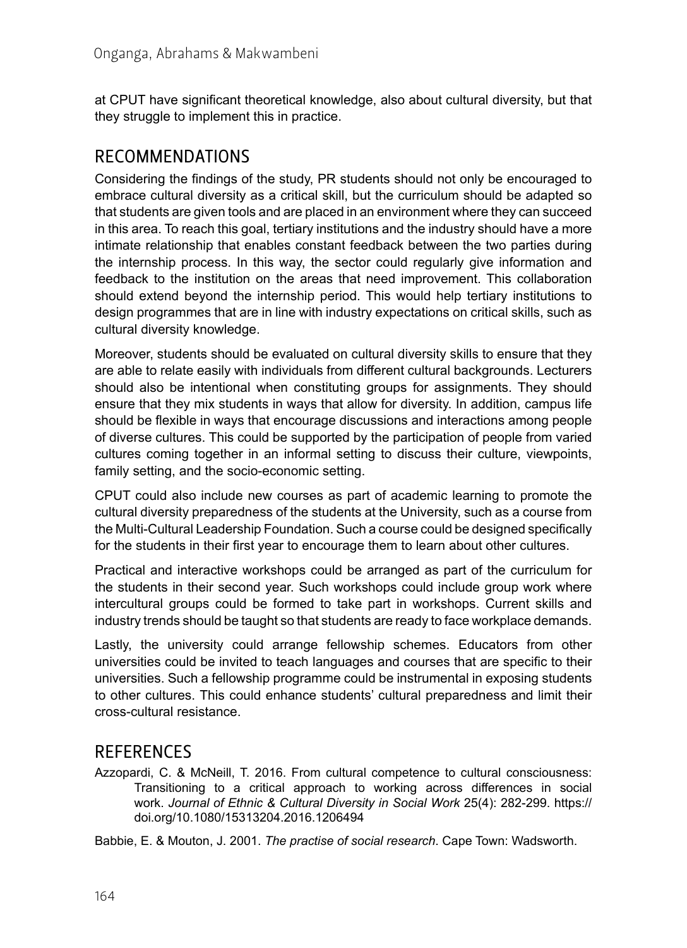at CPUT have significant theoretical knowledge, also about cultural diversity, but that they struggle to implement this in practice.

#### RECOMMENDATIONS

Considering the findings of the study, PR students should not only be encouraged to embrace cultural diversity as a critical skill, but the curriculum should be adapted so that students are given tools and are placed in an environment where they can succeed in this area. To reach this goal, tertiary institutions and the industry should have a more intimate relationship that enables constant feedback between the two parties during the internship process. In this way, the sector could regularly give information and feedback to the institution on the areas that need improvement. This collaboration should extend beyond the internship period. This would help tertiary institutions to design programmes that are in line with industry expectations on critical skills, such as cultural diversity knowledge.

Moreover, students should be evaluated on cultural diversity skills to ensure that they are able to relate easily with individuals from different cultural backgrounds. Lecturers should also be intentional when constituting groups for assignments. They should ensure that they mix students in ways that allow for diversity. In addition, campus life should be flexible in ways that encourage discussions and interactions among people of diverse cultures. This could be supported by the participation of people from varied cultures coming together in an informal setting to discuss their culture, viewpoints, family setting, and the socio-economic setting.

CPUT could also include new courses as part of academic learning to promote the cultural diversity preparedness of the students at the University, such as a course from the Multi-Cultural Leadership Foundation. Such a course could be designed specifically for the students in their first year to encourage them to learn about other cultures.

Practical and interactive workshops could be arranged as part of the curriculum for the students in their second year. Such workshops could include group work where intercultural groups could be formed to take part in workshops. Current skills and industry trends should be taught so that students are ready to face workplace demands.

Lastly, the university could arrange fellowship schemes. Educators from other universities could be invited to teach languages and courses that are specific to their universities. Such a fellowship programme could be instrumental in exposing students to other cultures. This could enhance students' cultural preparedness and limit their cross-cultural resistance.

#### **REFERENCES**

Azzopardi, C. & McNeill, T. 2016. From cultural competence to cultural consciousness: Transitioning to a critical approach to working across differences in social work. *Journal of Ethnic & Cultural Diversity in Social Work* 25(4): 282-299. [https://](https://doi.org/10.1080/15313204.2016.1206494) [doi.org/10.1080/15313204.2016.1206494](https://doi.org/10.1080/15313204.2016.1206494)

Babbie, E. & Mouton, J. 2001. *The practise of social research*. Cape Town: Wadsworth.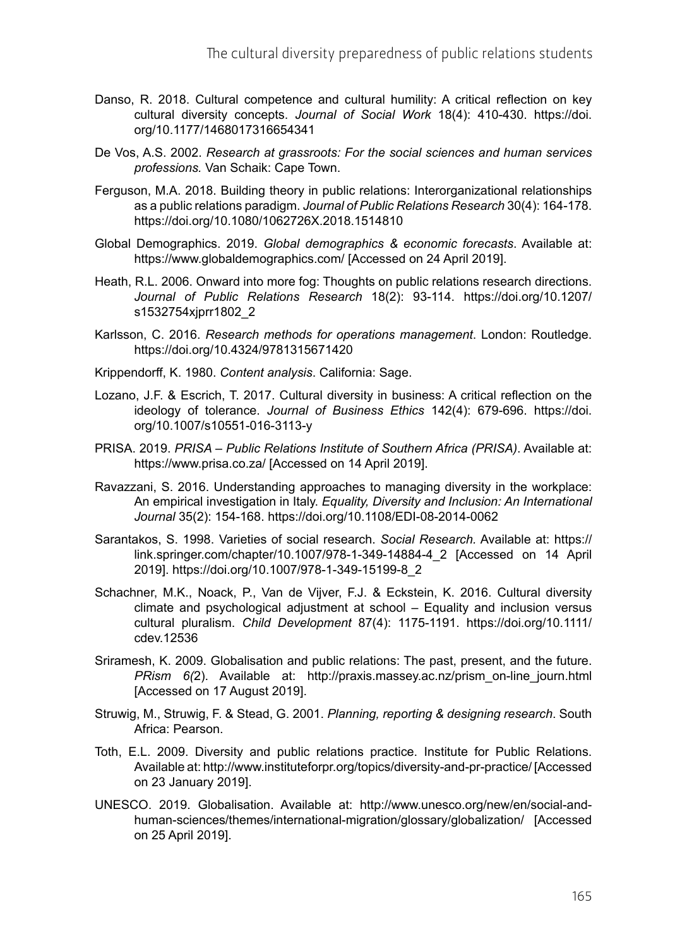- Danso, R. 2018. Cultural competence and cultural humility: A critical reflection on key cultural diversity concepts. *Journal of Social Work* 18(4): 410-430. [https://doi.](https://doi.org/10.1177/1468017316654341) [org/10.1177/1468017316654341](https://doi.org/10.1177/1468017316654341)
- De Vos, A.S. 2002. *Research at grassroots: For the social sciences and human services professions.* Van Schaik: Cape Town.
- Ferguson, M.A. 2018. Building theory in public relations: Interorganizational relationships as a public relations paradigm. *Journal of Public Relations Research* 30(4): 164-178. <https://doi.org/10.1080/1062726X.2018.1514810>
- Global Demographics. 2019. *Global demographics & economic forecasts*. Available at: <https://www.globaldemographics.com/> [Accessed on 24 April 2019].
- Heath, R.L. 2006. Onward into more fog: Thoughts on public relations research directions. *Journal of Public Relations Research* 18(2): 93-114. [https://doi.org/10.1207/](https://doi.org/10.1207/s1532754xjprr1802_2) [s1532754xjprr1802\\_2](https://doi.org/10.1207/s1532754xjprr1802_2)
- Karlsson, C. 2016. *Research methods for operations management*. London: Routledge. <https://doi.org/10.4324/9781315671420>
- Krippendorff, K. 1980. *Content analysis*. California: Sage.
- Lozano, J.F. & Escrich, T. 2017. Cultural diversity in business: A critical reflection on the ideology of tolerance. *Journal of Business Ethics* 142(4): 679-696. [https://doi.](https://doi.org/10.1007/s10551-016-3113-y) [org/10.1007/s10551-016-3113-y](https://doi.org/10.1007/s10551-016-3113-y)
- PRISA. 2019. *PRISA Public Relations Institute of Southern Africa (PRISA)*. Available at: <https://www.prisa.co.za/>[Accessed on 14 April 2019].
- Ravazzani, S. 2016. Understanding approaches to managing diversity in the workplace: An empirical investigation in Italy. *Equality, Diversity and Inclusion: An International Journal* 35(2): 154-168.<https://doi.org/10.1108/EDI-08-2014-0062>
- Sarantakos, S. 1998. Varieties of social research. *Social Research.* Available at: [https://](https://link.springer.com/chapter/10.1007/978-1-349-14884-4_2) [link.springer.com/chapter/10.1007/978-1-349-14884-4\\_2](https://link.springer.com/chapter/10.1007/978-1-349-14884-4_2) [Accessed on 14 April 2019]. [https://doi.org/10.1007/978-1-349-15199-8\\_2](https://doi.org/10.1007/978-1-349-15199-8_2)
- Schachner, M.K., Noack, P., Van de Vijver, F.J. & Eckstein, K. 2016. Cultural diversity climate and psychological adjustment at school – Equality and inclusion versus cultural pluralism. *Child Development* 87(4): 1175-1191. [https://doi.org/10.1111/](https://doi.org/10.1111/cdev.12536) [cdev.12536](https://doi.org/10.1111/cdev.12536)
- Sriramesh, K. 2009. Globalisation and public relations: The past, present, and the future. *PRism 6(*2). Available at: [http://praxis.massey.ac.nz/prism\\_on-line\\_journ.html](http://praxis.massey.ac.nz/prism_on-line_journ.html) [Accessed on 17 August 2019].
- Struwig, M., Struwig, F. & Stead, G. 2001. *Planning, reporting & designing research*. South Africa: Pearson.
- Toth, E.L. 2009. Diversity and public relations practice. Institute for Public Relations. Available at:<http://www.instituteforpr.org/topics/diversity-and-pr-practice/> [Accessed on 23 January 2019].
- UNESCO. 2019. Globalisation. Available at: [http://www.unesco.org/new/en/social-and](http://www.unesco.org/new/en/social-and-human-sciences/themes/international-migration/glossary/globalization/)[human-sciences/themes/international-migration/glossary/globalization/](http://www.unesco.org/new/en/social-and-human-sciences/themes/international-migration/glossary/globalization/) [Accessed on 25 April 2019].